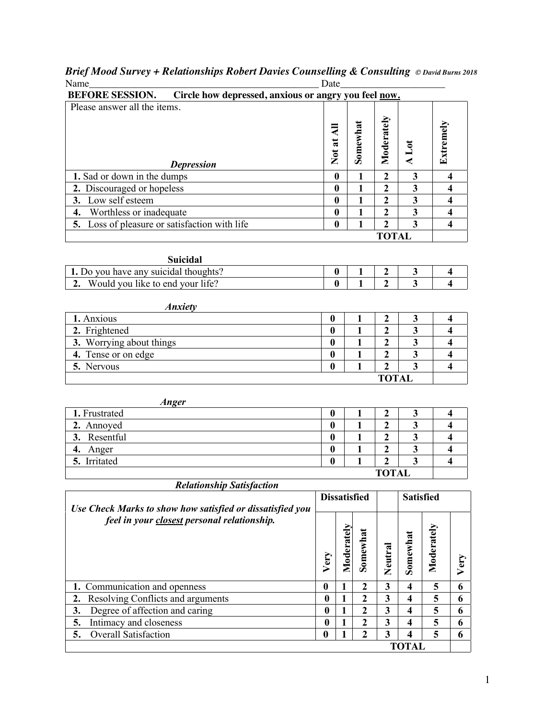|      | Brief Mood Survey + Relationships Robert Davies Counselling & Consulting © David Burns 2018 |  |
|------|---------------------------------------------------------------------------------------------|--|
| Name | Date                                                                                        |  |

|                  |                                                                                                                                                                      | $\mathbf{1}$                                                                                                                                                                                  | $\overline{2}$                                                                                                                                                                                                          | $\mathbf{3}$                                                                                                                                                                                                                                                                                                                         |                                                                                                                                                                                                                                                                                                            | 4                                                                                                                                            |
|------------------|----------------------------------------------------------------------------------------------------------------------------------------------------------------------|-----------------------------------------------------------------------------------------------------------------------------------------------------------------------------------------------|-------------------------------------------------------------------------------------------------------------------------------------------------------------------------------------------------------------------------|--------------------------------------------------------------------------------------------------------------------------------------------------------------------------------------------------------------------------------------------------------------------------------------------------------------------------------------|------------------------------------------------------------------------------------------------------------------------------------------------------------------------------------------------------------------------------------------------------------------------------------------------------------|----------------------------------------------------------------------------------------------------------------------------------------------|
|                  |                                                                                                                                                                      | $\mathbf{1}$                                                                                                                                                                                  | $\mathbf{2}$                                                                                                                                                                                                            |                                                                                                                                                                                                                                                                                                                                      |                                                                                                                                                                                                                                                                                                            | $\overline{\mathbf{4}}$                                                                                                                      |
|                  |                                                                                                                                                                      |                                                                                                                                                                                               |                                                                                                                                                                                                                         |                                                                                                                                                                                                                                                                                                                                      |                                                                                                                                                                                                                                                                                                            | 4                                                                                                                                            |
|                  |                                                                                                                                                                      |                                                                                                                                                                                               |                                                                                                                                                                                                                         |                                                                                                                                                                                                                                                                                                                                      |                                                                                                                                                                                                                                                                                                            | $\overline{\mathbf{4}}$                                                                                                                      |
|                  |                                                                                                                                                                      |                                                                                                                                                                                               |                                                                                                                                                                                                                         |                                                                                                                                                                                                                                                                                                                                      |                                                                                                                                                                                                                                                                                                            | $\overline{\mathbf{4}}$                                                                                                                      |
|                  |                                                                                                                                                                      |                                                                                                                                                                                               |                                                                                                                                                                                                                         |                                                                                                                                                                                                                                                                                                                                      |                                                                                                                                                                                                                                                                                                            |                                                                                                                                              |
|                  |                                                                                                                                                                      |                                                                                                                                                                                               |                                                                                                                                                                                                                         |                                                                                                                                                                                                                                                                                                                                      |                                                                                                                                                                                                                                                                                                            |                                                                                                                                              |
|                  |                                                                                                                                                                      |                                                                                                                                                                                               |                                                                                                                                                                                                                         |                                                                                                                                                                                                                                                                                                                                      |                                                                                                                                                                                                                                                                                                            | 4                                                                                                                                            |
|                  |                                                                                                                                                                      | $\mathbf{1}$                                                                                                                                                                                  | $\overline{2}$                                                                                                                                                                                                          | $\overline{\mathbf{3}}$                                                                                                                                                                                                                                                                                                              |                                                                                                                                                                                                                                                                                                            | $\overline{\mathbf{4}}$                                                                                                                      |
|                  |                                                                                                                                                                      |                                                                                                                                                                                               |                                                                                                                                                                                                                         |                                                                                                                                                                                                                                                                                                                                      |                                                                                                                                                                                                                                                                                                            |                                                                                                                                              |
|                  |                                                                                                                                                                      |                                                                                                                                                                                               |                                                                                                                                                                                                                         |                                                                                                                                                                                                                                                                                                                                      |                                                                                                                                                                                                                                                                                                            | 4                                                                                                                                            |
|                  |                                                                                                                                                                      |                                                                                                                                                                                               |                                                                                                                                                                                                                         |                                                                                                                                                                                                                                                                                                                                      |                                                                                                                                                                                                                                                                                                            | 4                                                                                                                                            |
|                  |                                                                                                                                                                      |                                                                                                                                                                                               |                                                                                                                                                                                                                         |                                                                                                                                                                                                                                                                                                                                      |                                                                                                                                                                                                                                                                                                            | $\overline{\mathbf{4}}$                                                                                                                      |
|                  |                                                                                                                                                                      |                                                                                                                                                                                               |                                                                                                                                                                                                                         |                                                                                                                                                                                                                                                                                                                                      |                                                                                                                                                                                                                                                                                                            | $\overline{\mathbf{4}}$                                                                                                                      |
| $\boldsymbol{0}$ |                                                                                                                                                                      | 1                                                                                                                                                                                             | $\overline{2}$                                                                                                                                                                                                          | $\overline{\mathbf{3}}$                                                                                                                                                                                                                                                                                                              |                                                                                                                                                                                                                                                                                                            | 4                                                                                                                                            |
|                  |                                                                                                                                                                      |                                                                                                                                                                                               |                                                                                                                                                                                                                         |                                                                                                                                                                                                                                                                                                                                      |                                                                                                                                                                                                                                                                                                            |                                                                                                                                              |
|                  |                                                                                                                                                                      |                                                                                                                                                                                               |                                                                                                                                                                                                                         |                                                                                                                                                                                                                                                                                                                                      |                                                                                                                                                                                                                                                                                                            |                                                                                                                                              |
|                  |                                                                                                                                                                      |                                                                                                                                                                                               |                                                                                                                                                                                                                         |                                                                                                                                                                                                                                                                                                                                      |                                                                                                                                                                                                                                                                                                            | 4                                                                                                                                            |
|                  |                                                                                                                                                                      |                                                                                                                                                                                               |                                                                                                                                                                                                                         |                                                                                                                                                                                                                                                                                                                                      |                                                                                                                                                                                                                                                                                                            | 4                                                                                                                                            |
|                  |                                                                                                                                                                      |                                                                                                                                                                                               |                                                                                                                                                                                                                         |                                                                                                                                                                                                                                                                                                                                      |                                                                                                                                                                                                                                                                                                            | 4                                                                                                                                            |
|                  |                                                                                                                                                                      |                                                                                                                                                                                               |                                                                                                                                                                                                                         |                                                                                                                                                                                                                                                                                                                                      |                                                                                                                                                                                                                                                                                                            | $\overline{\mathbf{4}}$                                                                                                                      |
| $\bf{0}$         |                                                                                                                                                                      | $\mathbf{1}$                                                                                                                                                                                  | $\overline{3}$                                                                                                                                                                                                          |                                                                                                                                                                                                                                                                                                                                      |                                                                                                                                                                                                                                                                                                            | $\overline{\mathbf{4}}$                                                                                                                      |
|                  |                                                                                                                                                                      |                                                                                                                                                                                               |                                                                                                                                                                                                                         |                                                                                                                                                                                                                                                                                                                                      |                                                                                                                                                                                                                                                                                                            |                                                                                                                                              |
|                  |                                                                                                                                                                      |                                                                                                                                                                                               |                                                                                                                                                                                                                         |                                                                                                                                                                                                                                                                                                                                      |                                                                                                                                                                                                                                                                                                            |                                                                                                                                              |
|                  |                                                                                                                                                                      |                                                                                                                                                                                               |                                                                                                                                                                                                                         |                                                                                                                                                                                                                                                                                                                                      |                                                                                                                                                                                                                                                                                                            |                                                                                                                                              |
|                  |                                                                                                                                                                      |                                                                                                                                                                                               |                                                                                                                                                                                                                         |                                                                                                                                                                                                                                                                                                                                      |                                                                                                                                                                                                                                                                                                            |                                                                                                                                              |
|                  |                                                                                                                                                                      |                                                                                                                                                                                               |                                                                                                                                                                                                                         |                                                                                                                                                                                                                                                                                                                                      |                                                                                                                                                                                                                                                                                                            |                                                                                                                                              |
|                  |                                                                                                                                                                      |                                                                                                                                                                                               |                                                                                                                                                                                                                         |                                                                                                                                                                                                                                                                                                                                      |                                                                                                                                                                                                                                                                                                            |                                                                                                                                              |
|                  |                                                                                                                                                                      |                                                                                                                                                                                               |                                                                                                                                                                                                                         |                                                                                                                                                                                                                                                                                                                                      |                                                                                                                                                                                                                                                                                                            |                                                                                                                                              |
|                  |                                                                                                                                                                      |                                                                                                                                                                                               |                                                                                                                                                                                                                         |                                                                                                                                                                                                                                                                                                                                      |                                                                                                                                                                                                                                                                                                            | Very                                                                                                                                         |
|                  |                                                                                                                                                                      |                                                                                                                                                                                               |                                                                                                                                                                                                                         |                                                                                                                                                                                                                                                                                                                                      |                                                                                                                                                                                                                                                                                                            |                                                                                                                                              |
|                  |                                                                                                                                                                      |                                                                                                                                                                                               |                                                                                                                                                                                                                         |                                                                                                                                                                                                                                                                                                                                      |                                                                                                                                                                                                                                                                                                            | 6                                                                                                                                            |
|                  |                                                                                                                                                                      |                                                                                                                                                                                               |                                                                                                                                                                                                                         |                                                                                                                                                                                                                                                                                                                                      |                                                                                                                                                                                                                                                                                                            | 6                                                                                                                                            |
|                  |                                                                                                                                                                      |                                                                                                                                                                                               |                                                                                                                                                                                                                         |                                                                                                                                                                                                                                                                                                                                      |                                                                                                                                                                                                                                                                                                            | 6<br>6                                                                                                                                       |
|                  |                                                                                                                                                                      |                                                                                                                                                                                               |                                                                                                                                                                                                                         |                                                                                                                                                                                                                                                                                                                                      |                                                                                                                                                                                                                                                                                                            | 6                                                                                                                                            |
|                  |                                                                                                                                                                      |                                                                                                                                                                                               |                                                                                                                                                                                                                         |                                                                                                                                                                                                                                                                                                                                      |                                                                                                                                                                                                                                                                                                            |                                                                                                                                              |
|                  | $\bf{0}$<br>$\bf{0}$<br>$\bf{0}$<br>$\boldsymbol{0}$<br>$\bf{0}$<br>$\boldsymbol{0}$<br>$\bf{0}$<br>Very<br>$\bf{0}$<br>$\bf{0}$<br>$\bf{0}$<br>$\bf{0}$<br>$\bf{0}$ | Not at All<br>$\bf{0}$<br>$\bf{0}$<br>$\bf{0}$<br>$\bf{0}$<br>$\bf{0}$<br>$\bf{0}$<br>$\bf{0}$<br>$\bf{0}$<br>Moderately<br>$\mathbf{1}$<br>$\mathbf{1}$<br>1<br>$\mathbf{1}$<br>$\mathbf{1}$ | Somewhat<br>1<br>$\mathbf{1}$<br>1<br>$\mathbf{1}$<br>1<br>1<br>1<br>$\mathbf{1}$<br>1<br>1<br>1<br>1<br><b>Dissatisfied</b><br>Somewhat<br>$\boldsymbol{2}$<br>$\overline{2}$<br>2<br>$\overline{2}$<br>$\overline{2}$ | Moderately<br>$\overline{2}$<br>$\mathbf{2}$<br>$\overline{2}$<br>$\boldsymbol{2}$<br>$\boldsymbol{2}$<br>$\mathbf{2}$<br>$\overline{2}$<br>$\overline{2}$<br>$\boldsymbol{2}$<br>$\mathbf{2}$<br>$\boldsymbol{2}$<br>$\mathbf{2}$<br>$\overline{2}$<br>Neutral<br>$\mathbf{3}$<br>$\mathbf{3}$<br>3<br>$\overline{\mathbf{3}}$<br>3 | A Lot<br>3<br>$\mathbf{3}$<br>3<br>$\overline{\mathbf{3}}$<br><b>TOTAL</b><br>3<br>$\mathbf{3}$<br>3<br>$\mathbf{3}$<br>$\mathbf{3}$<br><b>TOTAL</b><br>3<br>$\mathbf{3}$<br>$\mathbf{3}$<br>$\mathbf{3}$<br><b>TOTAL</b><br>Somewhat<br>$\overline{\mathbf{4}}$<br>4<br>4<br>4<br>$\overline{\mathbf{4}}$ | Circle how depressed, anxious or angry you feel now.<br>Extremely<br><b>Satisfied</b><br>Moderately<br>5<br>5<br>5<br>5<br>5<br><b>TOTAL</b> |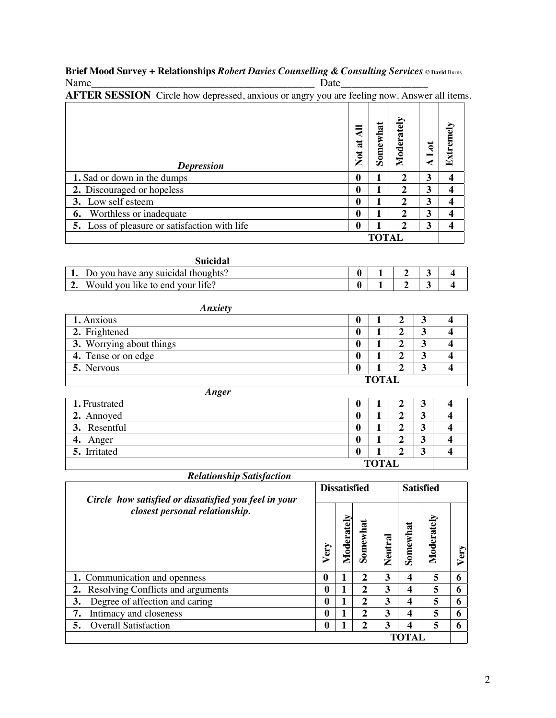#### **Brief Mood Survey + Relationships** *Robert Davies Counselling & Consulting Services* **© David** Burns Name\_\_\_\_\_\_\_\_\_\_\_\_\_\_\_\_\_\_\_\_\_\_\_\_\_\_\_\_\_\_\_\_\_\_\_\_\_\_\_\_\_ Date\_\_\_\_\_\_\_\_\_\_\_\_\_\_\_\_

| <b>AFTER SESSION</b> Circle how depressed, anxious or angry you are feeling now. Answer all items. |                                   |              |                |   |                  |
|----------------------------------------------------------------------------------------------------|-----------------------------------|--------------|----------------|---|------------------|
| <b>Depression</b>                                                                                  | ₹<br>$\sharp$<br>$\sum_{i=1}^{n}$ | Somewhat     | Moderately     | इ | Extremely        |
| 1. Sad or down in the dumps                                                                        | 0                                 |              | 2              | 3 | $\boldsymbol{4}$ |
| 2. Discouraged or hopeless                                                                         | 0                                 |              | 2              | 3 | 4                |
| 3. Low self esteem                                                                                 | 0                                 |              | $\mathbf{2}$   | 3 | 4                |
| Worthless or inadequate<br>6.                                                                      | $\mathbf 0$                       |              | 2              | 3 | 4                |
| 5. Loss of pleasure or satisfaction with life                                                      | $\bf{0}$                          |              | $\overline{2}$ | 3 | $\boldsymbol{4}$ |
|                                                                                                    |                                   | <b>TOTAL</b> |                |   |                  |

| Suicidal                              |  |  |  |
|---------------------------------------|--|--|--|
| 1. Do you have any suicidal thoughts? |  |  |  |
| 2. Would you like to end your life?   |  |  |  |
|                                       |  |  |  |

| <b>Anxiety</b>           |   |  |   |   |  |  |
|--------------------------|---|--|---|---|--|--|
| 1. Anxious               | 0 |  |   |   |  |  |
| 2. Frightened            | 0 |  |   |   |  |  |
| 3. Worrying about things | 0 |  |   |   |  |  |
| 4. Tense or on edge      | 0 |  | n | 3 |  |  |
| 5. Nervous               | 0 |  |   | 3 |  |  |
| <b>TOTAL</b>             |   |  |   |   |  |  |

| Anger         |   |  |   |   |  |  |
|---------------|---|--|---|---|--|--|
| 1. Frustrated | 0 |  | σ | 3 |  |  |
| 2. Annoyed    | 0 |  |   | 3 |  |  |
| 3. Resentful  | 0 |  | Δ | 3 |  |  |
| 4. Anger      | 0 |  | Δ | 3 |  |  |
| 5. Irritated  | 0 |  | σ | 3 |  |  |
| <b>TOTAL</b>  |   |  |   |   |  |  |

### *Relationship Satisfaction*

| Circle how satisfied or dissatisfied you feel in your |          | <b>Dissatisfied</b> |                  |         | <b>Satisfied</b> |            |      |
|-------------------------------------------------------|----------|---------------------|------------------|---------|------------------|------------|------|
| closest personal relationship.                        | Very     | Moderately          | Somewhat         | Neutral | Somewhat         | Moderately | Very |
| 1. Communication and openness                         | $\bf{0}$ |                     | 2                | 3       | 4                | 5          | 6    |
| 2. Resolving Conflicts and arguments                  | 0        |                     | 2                | 3       | $\boldsymbol{4}$ | 5          | 6    |
| 3.<br>Degree of affection and caring                  | $\bf{0}$ |                     | 2                | 3       | 4                | 5          | 6    |
| 7.<br>Intimacy and closeness                          | 0        |                     | $\overline{2}$   | 3       | 4                | 5          | 6    |
| <b>Overall Satisfaction</b><br>5.                     | 0        |                     | $\boldsymbol{2}$ | 3       | 4                | 5          | 6    |
|                                                       |          |                     |                  |         |                  |            |      |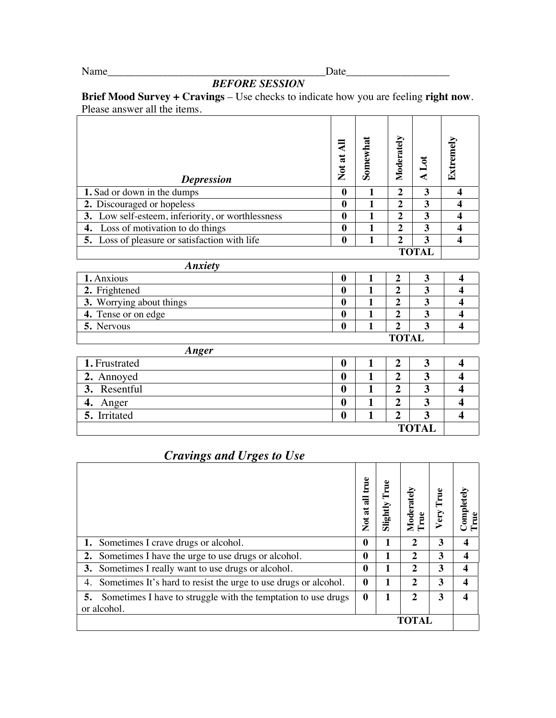## Name\_\_\_\_\_\_\_\_\_\_\_\_\_\_\_\_\_\_\_\_\_\_\_\_\_\_\_\_\_\_\_\_\_\_\_\_\_\_\_\_Date\_\_\_\_\_\_\_\_\_\_\_\_\_\_\_\_\_\_\_

 **TOTAL**

# *BEFORE SESSION*

**Brief Mood Survey + Cravings** – Use checks to indicate how you are feeling **right now**. Please answer all the items.

| <b>Depression</b>                                 | Ę<br>Not at  | Somewhat | Moderately       | A Lot | Extremely               |
|---------------------------------------------------|--------------|----------|------------------|-------|-------------------------|
| 1. Sad or down in the dumps                       | $\bf{0}$     | 1        | $\overline{2}$   | 3     | $\boldsymbol{4}$        |
| 2. Discouraged or hopeless                        | $\mathbf{0}$ | 1        | $\mathbf{2}$     | 3     | 4                       |
| 3. Low self-esteem, inferiority, or worthlessness | $\mathbf{0}$ | 1        | $\mathbf{2}$     | 3     | 4                       |
| Loss of motivation to do things<br>4.             | $\mathbf{0}$ | 1        | 2                | 3     | 4                       |
| 5. Loss of pleasure or satisfaction with life     | $\bf{0}$     | 1        | $\mathbf{2}$     | 3     | 4                       |
|                                                   |              |          |                  | TOTAL |                         |
| <b>Anxiety</b>                                    |              |          |                  |       |                         |
| 1. Anxious                                        | $\mathbf{0}$ | 1        | 2                | 3     | $\overline{\mathbf{4}}$ |
| 2. Frightened                                     | $\bf{0}$     | 1        | $\overline{2}$   | 3     | 4                       |
| 3. Worrying about things                          | $\bf{0}$     | 1        | $\mathbf{2}$     | 3     | 4                       |
| 4. Tense or on edge                               | $\bf{0}$     | 1        | $\mathbf{2}$     | 3     | 4                       |
| 5. Nervous                                        | $\bf{0}$     |          | $\boldsymbol{2}$ | 3     | 4                       |

|  | Anger |
|--|-------|
|--|-------|

| 1. Frustrated |  |  |   |  |  |  |  |  |
|---------------|--|--|---|--|--|--|--|--|
| 2. Annoyed    |  |  |   |  |  |  |  |  |
| 3. Resentful  |  |  | ¬ |  |  |  |  |  |
| 4. Anger      |  |  | n |  |  |  |  |  |
| 5. Irritated  |  |  | ∼ |  |  |  |  |  |
| <b>TOTAL</b>  |  |  |   |  |  |  |  |  |

## *Cravings and Urges to Use*

|                                                                       | Erue<br>₹<br>$\sum_{i=1}^{n}$ | Fue<br>Slightly | Moderately   | ery | Completely |
|-----------------------------------------------------------------------|-------------------------------|-----------------|--------------|-----|------------|
| <b>1.</b> Sometimes I crave drugs or alcohol.                         | 0                             |                 | $\mathbf{2}$ | 3   | 4          |
| Sometimes I have the urge to use drugs or alcohol.<br>2.              | 0                             |                 | $\mathbf{2}$ | 3   | 4          |
| 3. Sometimes I really want to use drugs or alcohol.                   | $\bf{0}$                      |                 | $\mathbf{2}$ | 3   | 4          |
| Sometimes It's hard to resist the urge to use drugs or alcohol.<br>4. | $\mathbf{0}$                  |                 | $\mathbf{2}$ | 3   | 4          |
| Sometimes I have to struggle with the temptation to use drugs<br>5.   | $\mathbf{0}$                  |                 | $\mathbf{2}$ | 3   | 4          |
| or alcohol.                                                           |                               |                 |              |     |            |
|                                                                       |                               |                 | <b>TOTAL</b> |     |            |